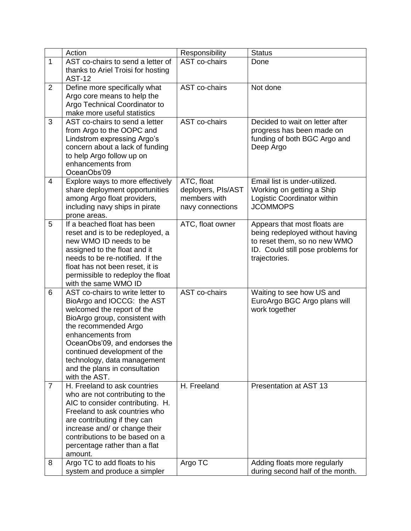|                | Action                                                 | Responsibility     | <b>Status</b>                     |
|----------------|--------------------------------------------------------|--------------------|-----------------------------------|
| $\mathbf{1}$   | AST co-chairs to send a letter of                      | AST co-chairs      | Done                              |
|                | thanks to Ariel Troisi for hosting                     |                    |                                   |
|                | <b>AST-12</b>                                          |                    |                                   |
| $\overline{2}$ | Define more specifically what                          | AST co-chairs      | Not done                          |
|                | Argo core means to help the                            |                    |                                   |
|                | Argo Technical Coordinator to                          |                    |                                   |
|                | make more useful statistics                            |                    |                                   |
| 3              | AST co-chairs to send a letter                         | AST co-chairs      | Decided to wait on letter after   |
|                | from Argo to the OOPC and                              |                    | progress has been made on         |
|                | Lindstrom expressing Argo's                            |                    | funding of both BGC Argo and      |
|                | concern about a lack of funding                        |                    | Deep Argo                         |
|                | to help Argo follow up on<br>enhancements from         |                    |                                   |
|                | OceanObs'09                                            |                    |                                   |
| 4              | Explore ways to more effectively                       | ATC, float         | Email list is under-utilized.     |
|                | share deployment opportunities                         | deployers, PIs/AST | Working on getting a Ship         |
|                | among Argo float providers,                            | members with       | Logistic Coordinator within       |
|                | including navy ships in pirate                         | navy connections   | <b>JCOMMOPS</b>                   |
|                | prone areas.                                           |                    |                                   |
| 5              | If a beached float has been                            | ATC, float owner   | Appears that most floats are      |
|                | reset and is to be redeployed, a                       |                    | being redeployed without having   |
|                | new WMO ID needs to be                                 |                    | to reset them, so no new WMO      |
|                | assigned to the float and it                           |                    | ID. Could still pose problems for |
|                | needs to be re-notified. If the                        |                    | trajectories.                     |
|                | float has not been reset, it is                        |                    |                                   |
|                | permissible to redeploy the float                      |                    |                                   |
|                | with the same WMO ID                                   |                    |                                   |
| 6              | AST co-chairs to write letter to                       | AST co-chairs      | Waiting to see how US and         |
|                | BioArgo and IOCCG: the AST                             |                    | EuroArgo BGC Argo plans will      |
|                | welcomed the report of the                             |                    | work together                     |
|                | BioArgo group, consistent with<br>the recommended Argo |                    |                                   |
|                | enhancements from                                      |                    |                                   |
|                | OceanObs'09, and endorses the                          |                    |                                   |
|                | continued development of the                           |                    |                                   |
|                | technology, data management                            |                    |                                   |
|                | and the plans in consultation                          |                    |                                   |
|                | with the AST.                                          |                    |                                   |
| $\overline{7}$ | H. Freeland to ask countries                           | H. Freeland        | Presentation at AST 13            |
|                | who are not contributing to the                        |                    |                                   |
|                | AIC to consider contributing. H.                       |                    |                                   |
|                | Freeland to ask countries who                          |                    |                                   |
|                | are contributing if they can                           |                    |                                   |
|                | increase and/ or change their                          |                    |                                   |
|                | contributions to be based on a                         |                    |                                   |
|                | percentage rather than a flat                          |                    |                                   |
|                | amount.                                                |                    |                                   |
| 8              | Argo TC to add floats to his                           | Argo TC            | Adding floats more regularly      |
|                | system and produce a simpler                           |                    | during second half of the month.  |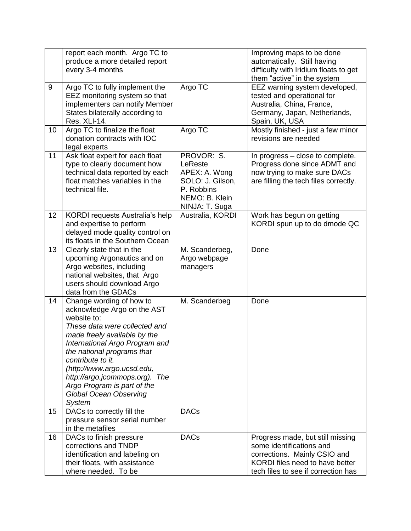|    | report each month. Argo TC to<br>produce a more detailed report<br>every 3-4 months                                                                                                                                                                                                                                                                                    |                                                                                                              | Improving maps to be done<br>automatically. Still having<br>difficulty with Iridium floats to get<br>them "active" in the system                                       |
|----|------------------------------------------------------------------------------------------------------------------------------------------------------------------------------------------------------------------------------------------------------------------------------------------------------------------------------------------------------------------------|--------------------------------------------------------------------------------------------------------------|------------------------------------------------------------------------------------------------------------------------------------------------------------------------|
| 9  | Argo TC to fully implement the<br>EEZ monitoring system so that<br>implementers can notify Member<br>States bilaterally according to<br>Res. XLI-14.                                                                                                                                                                                                                   | Argo TC                                                                                                      | EEZ warning system developed,<br>tested and operational for<br>Australia, China, France,<br>Germany, Japan, Netherlands,<br>Spain, UK, USA                             |
| 10 | Argo TC to finalize the float<br>donation contracts with IOC<br>legal experts                                                                                                                                                                                                                                                                                          | Argo TC                                                                                                      | Mostly finished - just a few minor<br>revisions are needed                                                                                                             |
| 11 | Ask float expert for each float<br>type to clearly document how<br>technical data reported by each<br>float matches variables in the<br>technical file.                                                                                                                                                                                                                | PROVOR: S.<br>LeReste<br>APEX: A. Wong<br>SOLO: J. Gilson,<br>P. Robbins<br>NEMO: B. Klein<br>NINJA: T. Suga | In progress - close to complete.<br>Progress done since ADMT and<br>now trying to make sure DACs<br>are filling the tech files correctly.                              |
| 12 | KORDI requests Australia's help<br>and expertise to perform<br>delayed mode quality control on<br>its floats in the Southern Ocean                                                                                                                                                                                                                                     | Australia, KORDI                                                                                             | Work has begun on getting<br>KORDI spun up to do dmode QC                                                                                                              |
| 13 | Clearly state that in the<br>upcoming Argonautics and on<br>Argo websites, including<br>national websites, that Argo<br>users should download Argo<br>data from the GDACs                                                                                                                                                                                              | M. Scanderbeg,<br>Argo webpage<br>managers                                                                   | Done                                                                                                                                                                   |
| 14 | Change wording of how to<br>acknowledge Argo on the AST<br>website to:<br>These data were collected and<br>made freely available by the<br>International Argo Program and<br>the national programs that<br>contribute to it.<br>(http://www.argo.ucsd.edu,<br>http://argo.jcommops.org). The<br>Argo Program is part of the<br>Global Ocean Observing<br><b>System</b> | M. Scanderbeg                                                                                                | Done                                                                                                                                                                   |
| 15 | DACs to correctly fill the<br>pressure sensor serial number<br>in the metafiles                                                                                                                                                                                                                                                                                        | <b>DACs</b>                                                                                                  |                                                                                                                                                                        |
| 16 | DACs to finish pressure<br>corrections and TNDP<br>identification and labeling on<br>their floats, with assistance<br>where needed. To be                                                                                                                                                                                                                              | <b>DACs</b>                                                                                                  | Progress made, but still missing<br>some identifications and<br>corrections. Mainly CSIO and<br>KORDI files need to have better<br>tech files to see if correction has |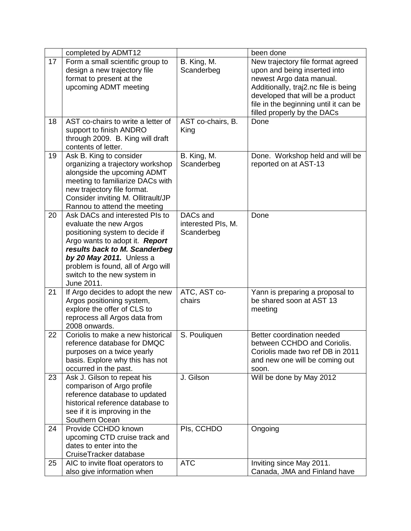|    | completed by ADMT12                                                                                                                                                                                                                                                                  |                                              | been done                                                                                                                                                                                                                                         |
|----|--------------------------------------------------------------------------------------------------------------------------------------------------------------------------------------------------------------------------------------------------------------------------------------|----------------------------------------------|---------------------------------------------------------------------------------------------------------------------------------------------------------------------------------------------------------------------------------------------------|
| 17 | Form a small scientific group to<br>design a new trajectory file<br>format to present at the<br>upcoming ADMT meeting                                                                                                                                                                | B. King, M.<br>Scanderbeg                    | New trajectory file format agreed<br>upon and being inserted into<br>newest Argo data manual.<br>Additionally, traj2.nc file is being<br>developed that will be a product<br>file in the beginning until it can be<br>filled properly by the DACs |
| 18 | AST co-chairs to write a letter of<br>support to finish ANDRO<br>through 2009. B. King will draft<br>contents of letter.                                                                                                                                                             | AST co-chairs, B.<br>King                    | Done                                                                                                                                                                                                                                              |
| 19 | Ask B. King to consider<br>organizing a trajectory workshop<br>alongside the upcoming ADMT<br>meeting to familiarize DACs with<br>new trajectory file format.<br>Consider inviting M. Ollitrault/JP<br>Rannou to attend the meeting                                                  | B. King, M.<br>Scanderbeg                    | Done. Workshop held and will be<br>reported on at AST-13                                                                                                                                                                                          |
| 20 | Ask DACs and interested PIs to<br>evaluate the new Argos<br>positioning system to decide if<br>Argo wants to adopt it. <b>Report</b><br>results back to M. Scanderbeg<br>by 20 May 2011. Unless a<br>problem is found, all of Argo will<br>switch to the new system in<br>June 2011. | DACs and<br>interested PIs, M.<br>Scanderbeg | Done                                                                                                                                                                                                                                              |
| 21 | If Argo decides to adopt the new<br>Argos positioning system,<br>explore the offer of CLS to<br>reprocess all Argos data from<br>2008 onwards.                                                                                                                                       | ATC, AST co-<br>chairs                       | Yann is preparing a proposal to<br>be shared soon at AST 13<br>meeting                                                                                                                                                                            |
| 22 | Coriolis to make a new historical<br>reference database for DMQC<br>purposes on a twice yearly<br>basis. Explore why this has not<br>occurred in the past.                                                                                                                           | S. Pouliquen                                 | Better coordination needed<br>between CCHDO and Coriolis.<br>Coriolis made two ref DB in 2011<br>and new one will be coming out<br>soon.                                                                                                          |
| 23 | Ask J. Gilson to repeat his<br>comparison of Argo profile<br>reference database to updated<br>historical reference database to<br>see if it is improving in the<br>Southern Ocean                                                                                                    | J. Gilson                                    | Will be done by May 2012                                                                                                                                                                                                                          |
| 24 | Provide CCHDO known<br>upcoming CTD cruise track and<br>dates to enter into the<br>CruiseTracker database                                                                                                                                                                            | Pls, CCHDO                                   | Ongoing                                                                                                                                                                                                                                           |
| 25 | AIC to invite float operators to<br>also give information when                                                                                                                                                                                                                       | <b>ATC</b>                                   | Inviting since May 2011.<br>Canada, JMA and Finland have                                                                                                                                                                                          |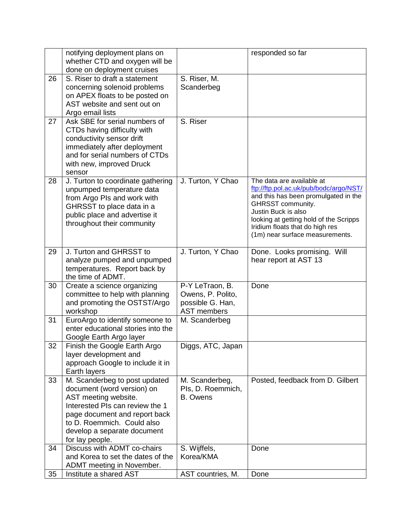|    | notifying deployment plans on                                         |                                        | responded so far                                                               |
|----|-----------------------------------------------------------------------|----------------------------------------|--------------------------------------------------------------------------------|
|    | whether CTD and oxygen will be                                        |                                        |                                                                                |
|    | done on deployment cruises                                            |                                        |                                                                                |
| 26 | S. Riser to draft a statement                                         | S. Riser, M.                           |                                                                                |
|    | concerning solenoid problems                                          | Scanderbeg                             |                                                                                |
|    | on APEX floats to be posted on                                        |                                        |                                                                                |
|    | AST website and sent out on                                           |                                        |                                                                                |
|    | Argo email lists                                                      |                                        |                                                                                |
| 27 | Ask SBE for serial numbers of                                         | S. Riser                               |                                                                                |
|    | CTDs having difficulty with                                           |                                        |                                                                                |
|    | conductivity sensor drift                                             |                                        |                                                                                |
|    | immediately after deployment                                          |                                        |                                                                                |
|    | and for serial numbers of CTDs                                        |                                        |                                                                                |
|    | with new, improved Druck                                              |                                        |                                                                                |
|    | sensor                                                                |                                        |                                                                                |
| 28 | J. Turton to coordinate gathering                                     | J. Turton, Y Chao                      | The data are available at                                                      |
|    | unpumped temperature data                                             |                                        | ftp://ftp.pol.ac.uk/pub/bodc/argo/NST/<br>and this has been promulgated in the |
|    | from Argo PIs and work with                                           |                                        | GHRSST community.                                                              |
|    | GHRSST to place data in a                                             |                                        | Justin Buck is also                                                            |
|    | public place and advertise it                                         |                                        | looking at getting hold of the Scripps                                         |
|    | throughout their community                                            |                                        | Iridium floats that do high res                                                |
|    |                                                                       |                                        | (1m) near surface measurements.                                                |
|    |                                                                       |                                        |                                                                                |
| 29 | J. Turton and GHRSST to                                               | J. Turton, Y Chao                      | Done. Looks promising. Will                                                    |
|    | analyze pumped and unpumped                                           |                                        | hear report at AST 13                                                          |
|    | temperatures. Report back by                                          |                                        |                                                                                |
|    | the time of ADMT.                                                     |                                        |                                                                                |
| 30 | Create a science organizing                                           | P-Y LeTraon, B.                        | Done                                                                           |
|    | committee to help with planning                                       | Owens, P. Polito,                      |                                                                                |
|    | and promoting the OSTST/Argo                                          | possible G. Han,<br><b>AST members</b> |                                                                                |
| 31 | workshop                                                              |                                        |                                                                                |
|    | EuroArgo to identify someone to<br>enter educational stories into the | M. Scanderbeg                          |                                                                                |
|    | Google Earth Argo layer                                               |                                        |                                                                                |
| 32 | Finish the Google Earth Argo                                          | Diggs, ATC, Japan                      |                                                                                |
|    | layer development and                                                 |                                        |                                                                                |
|    | approach Google to include it in                                      |                                        |                                                                                |
|    | Earth layers                                                          |                                        |                                                                                |
| 33 | M. Scanderbeg to post updated                                         | M. Scanderbeg,                         | Posted, feedback from D. Gilbert                                               |
|    | document (word version) on                                            | Pls, D. Roemmich,                      |                                                                                |
|    | AST meeting website.                                                  | <b>B.</b> Owens                        |                                                                                |
|    | Interested PIs can review the 1                                       |                                        |                                                                                |
|    | page document and report back                                         |                                        |                                                                                |
|    | to D. Roemmich. Could also                                            |                                        |                                                                                |
|    | develop a separate document                                           |                                        |                                                                                |
|    | for lay people.                                                       |                                        |                                                                                |
| 34 | Discuss with ADMT co-chairs                                           | S. Wijffels,                           | Done                                                                           |
|    | and Korea to set the dates of the                                     | Korea/KMA                              |                                                                                |
|    | ADMT meeting in November.                                             |                                        |                                                                                |
| 35 | Institute a shared AST                                                | AST countries, M.                      | Done                                                                           |